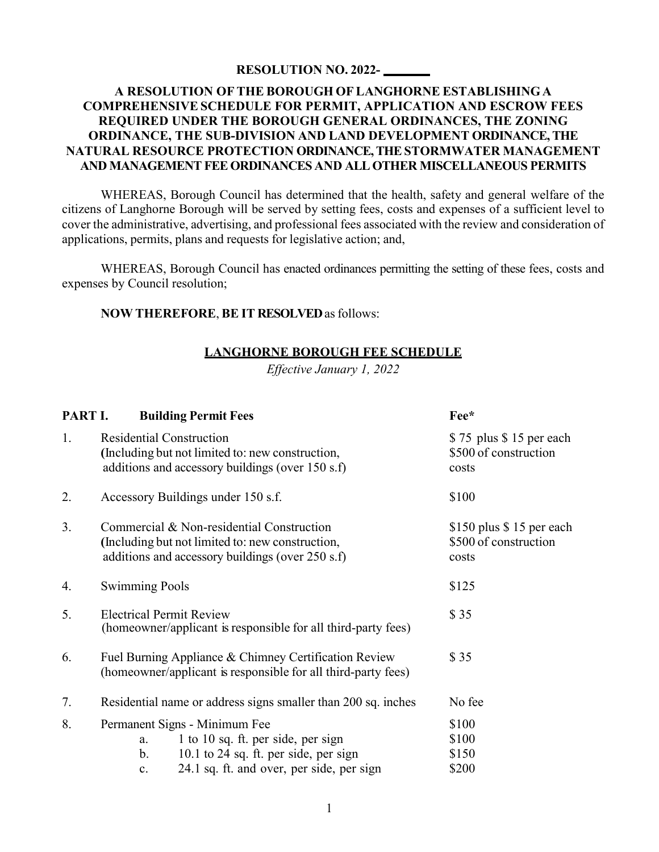#### **RESOLUTION NO. 2022-**

## **A RESOLUTION OF THE BOROUGH OFLANGHORNE ESTABLISHINGA COMPREHENSIVESCHEDULE FOR PERMIT, APPLICATION AND ESCROW FEES REQUIRED UNDER THE BOROUGH GENERAL ORDINANCES, THE ZONING ORDINANCE, THE SUB-DIVISION AND LAND DEVELOPMENT ORDINANCE, THE NATURAL RESOURCE PROTECTION ORDINANCE, THE STORMWATER MANAGEMENT AND MANAGEMENT FEE ORDINANCES AND ALL OTHER MISCELLANEOUS PERMITS**

WHEREAS, Borough Council has determined that the health, safety and general welfare of the citizens of Langhorne Borough will be served by setting fees, costs and expenses of a sufficient level to cover the administrative, advertising, and professional fees associated with the review and consideration of applications, permits, plans and requests for legislative action; and,

WHEREAS, Borough Council has enacted ordinances permitting the setting of these fees, costs and expenses by Council resolution;

### **NOW THEREFORE**, **BE IT RESOLVED** asfollows:

### **LANGHORNE BOROUGH FEE SCHEDULE**

*Effective January 1, 2022*

| PART I. | <b>Building Permit Fees</b>                                                                                                                       | Fee*                                                        |
|---------|---------------------------------------------------------------------------------------------------------------------------------------------------|-------------------------------------------------------------|
| 1.      | <b>Residential Construction</b><br>(Including but not limited to: new construction,<br>additions and accessory buildings (over 150 s.f)           | \$75 plus \$15 per each<br>\$500 of construction<br>costs   |
| 2.      | Accessory Buildings under 150 s.f.                                                                                                                | \$100                                                       |
| 3.      | Commercial & Non-residential Construction<br>(Including but not limited to: new construction,<br>additions and accessory buildings (over 250 s.f) | \$150 plus $$15$ per each<br>\$500 of construction<br>costs |
| 4.      | <b>Swimming Pools</b>                                                                                                                             | \$125                                                       |
| 5.      | <b>Electrical Permit Review</b><br>(homeowner/applicant is responsible for all third-party fees)                                                  | \$35                                                        |
| 6.      | Fuel Burning Appliance & Chimney Certification Review<br>(homeowner/applicant is responsible for all third-party fees)                            | \$35                                                        |
| 7.      | Residential name or address signs smaller than 200 sq. inches                                                                                     | No fee                                                      |
| 8.      | Permanent Signs - Minimum Fee                                                                                                                     | \$100                                                       |
|         | 1 to 10 sq. ft. per side, per sign<br>a.                                                                                                          | \$100                                                       |
|         | $\mathbf{b}$ .<br>10.1 to 24 sq. ft. per side, per sign                                                                                           | \$150                                                       |
|         | 24.1 sq. ft. and over, per side, per sign<br>c.                                                                                                   | \$200                                                       |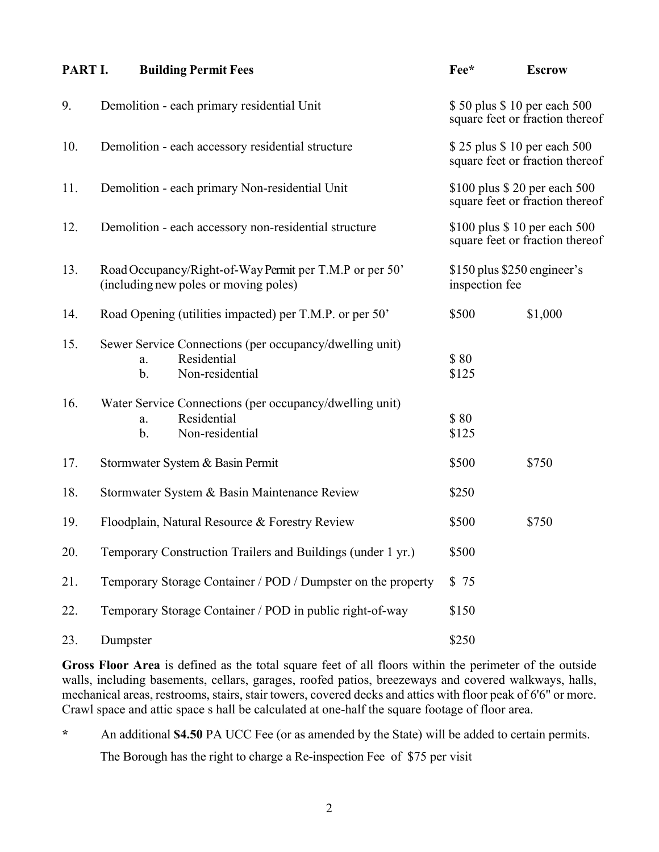| PART I. |                                                                                                                          | <b>Building Permit Fees</b>                                                                      | Fee*                                          | <b>Escrow</b>                   |
|---------|--------------------------------------------------------------------------------------------------------------------------|--------------------------------------------------------------------------------------------------|-----------------------------------------------|---------------------------------|
| 9.      |                                                                                                                          | Demolition - each primary residential Unit                                                       | \$50 plus \$10 per each 500                   | square feet or fraction thereof |
| 10.     |                                                                                                                          | Demolition - each accessory residential structure                                                | \$25 plus \$10 per each 500                   | square feet or fraction thereof |
| 11.     |                                                                                                                          | Demolition - each primary Non-residential Unit                                                   | \$100 plus \$20 per each 500                  | square feet or fraction thereof |
| 12.     | \$100 plus \$10 per each 500<br>Demolition - each accessory non-residential structure<br>square feet or fraction thereof |                                                                                                  |                                               |                                 |
| 13.     |                                                                                                                          | Road Occupancy/Right-of-Way Permit per T.M.P or per 50'<br>(including new poles or moving poles) | \$150 plus \$250 engineer's<br>inspection fee |                                 |
| 14.     |                                                                                                                          | Road Opening (utilities impacted) per T.M.P. or per 50'                                          | \$500                                         | \$1,000                         |
| 15.     | a.<br>$\mathbf b$ .                                                                                                      | Sewer Service Connections (per occupancy/dwelling unit)<br>Residential<br>Non-residential        | \$80<br>\$125                                 |                                 |
| 16.     | a.<br>$\mathbf b$ .                                                                                                      | Water Service Connections (per occupancy/dwelling unit)<br>Residential<br>Non-residential        | \$80<br>\$125                                 |                                 |
| 17.     |                                                                                                                          | Stormwater System & Basin Permit                                                                 | \$500                                         | \$750                           |
| 18.     |                                                                                                                          | Stormwater System & Basin Maintenance Review                                                     | \$250                                         |                                 |
| 19.     |                                                                                                                          | Floodplain, Natural Resource & Forestry Review                                                   | \$500                                         | \$750                           |
| 20.     |                                                                                                                          | Temporary Construction Trailers and Buildings (under 1 yr.)                                      | \$500                                         |                                 |
| 21.     |                                                                                                                          | Temporary Storage Container / POD / Dumpster on the property                                     | \$ 75                                         |                                 |
| 22.     |                                                                                                                          | Temporary Storage Container / POD in public right-of-way                                         | \$150                                         |                                 |
| 23.     | Dumpster                                                                                                                 |                                                                                                  | \$250                                         |                                 |

**Gross Floor Area** is defined as the total square feet of all floors within the perimeter of the outside walls, including basements, cellars, garages, roofed patios, breezeways and covered walkways, halls, mechanical areas, restrooms, stairs, stair towers, covered decks and attics with floor peak of 6'6" or more. Crawl space and attic space s hall be calculated at one-half the square footage of floor area.

**\*** An additional **\$4.50** PA UCC Fee (or as amended by the State) will be added to certain permits.

The Borough has the right to charge a Re-inspection Fee of \$75 per visit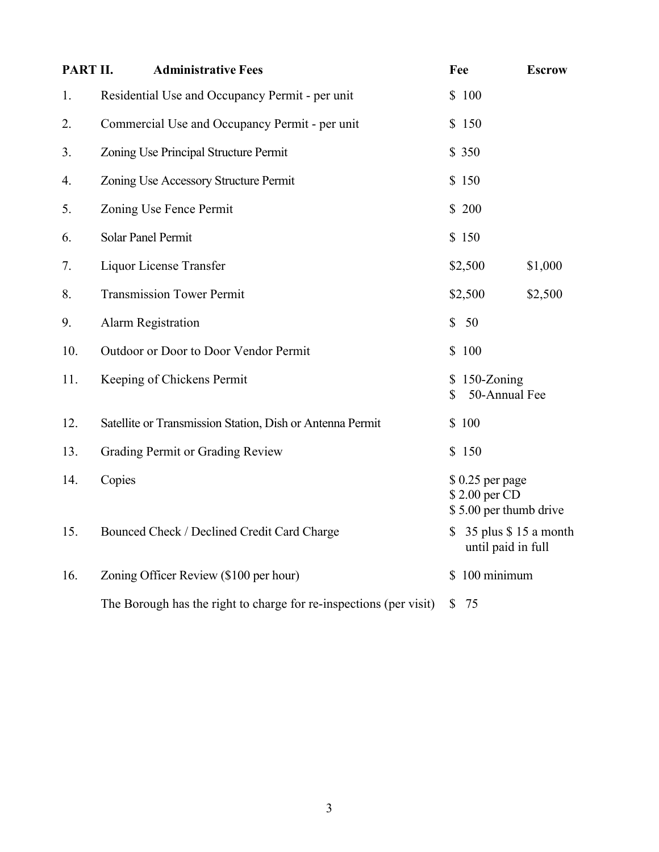| PART II. | <b>Administrative Fees</b>                                         | Fee                                                         | <b>Escrow</b> |
|----------|--------------------------------------------------------------------|-------------------------------------------------------------|---------------|
| 1.       | Residential Use and Occupancy Permit - per unit                    | \$ 100                                                      |               |
| 2.       | Commercial Use and Occupancy Permit - per unit                     | \$150                                                       |               |
| 3.       | Zoning Use Principal Structure Permit                              | \$350                                                       |               |
| 4.       | Zoning Use Accessory Structure Permit                              | \$150                                                       |               |
| 5.       | Zoning Use Fence Permit                                            | \$200                                                       |               |
| 6.       | <b>Solar Panel Permit</b>                                          | \$150                                                       |               |
| 7.       | Liquor License Transfer                                            | \$2,500                                                     | \$1,000       |
| 8.       | <b>Transmission Tower Permit</b>                                   | \$2,500                                                     | \$2,500       |
| 9.       | <b>Alarm Registration</b>                                          | \$50                                                        |               |
| 10.      | Outdoor or Door to Door Vendor Permit                              | \$ 100                                                      |               |
| 11.      | Keeping of Chickens Permit                                         | \$150-Zoning<br>50-Annual Fee<br>$\mathbb{S}$               |               |
| 12.      | Satellite or Transmission Station, Dish or Antenna Permit          | \$100                                                       |               |
| 13.      | Grading Permit or Grading Review                                   | \$150                                                       |               |
| 14.      | Copies                                                             | $$0.25$ per page<br>\$2.00 per CD<br>\$5.00 per thumb drive |               |
| 15.      | Bounced Check / Declined Credit Card Charge                        | $$35$ plus $$15$ a month<br>until paid in full              |               |
| 16.      | Zoning Officer Review (\$100 per hour)                             | \$100 minimum                                               |               |
|          | The Borough has the right to charge for re-inspections (per visit) | 75<br>\$                                                    |               |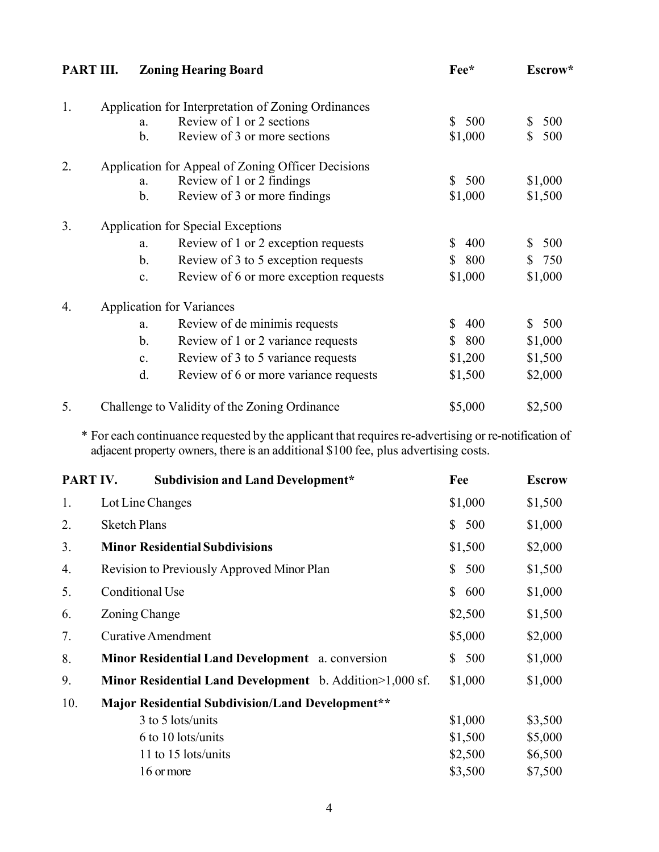| PART III. |                                                     | <b>Zoning Hearing Board</b>                        | Fee*                | Escrow*               |  |  |
|-----------|-----------------------------------------------------|----------------------------------------------------|---------------------|-----------------------|--|--|
| 1.        | Application for Interpretation of Zoning Ordinances |                                                    |                     |                       |  |  |
|           | a.                                                  | Review of 1 or 2 sections                          | 500<br>$\mathbb{S}$ | \$<br>500             |  |  |
|           | b.                                                  | Review of 3 or more sections                       | \$1,000             | \$<br>500             |  |  |
| 2.        |                                                     | Application for Appeal of Zoning Officer Decisions |                     |                       |  |  |
|           | a.                                                  | Review of 1 or 2 findings                          | \$500               | \$1,000               |  |  |
|           | b.                                                  | Review of 3 or more findings                       | \$1,000             | \$1,500               |  |  |
| 3.        | Application for Special Exceptions                  |                                                    |                     |                       |  |  |
|           | a.                                                  | Review of 1 or 2 exception requests                | 400<br>S.           | 500<br>S              |  |  |
|           | b.                                                  | Review of 3 to 5 exception requests                | \$800               | $\mathbb{S}$<br>750   |  |  |
|           | c.                                                  | Review of 6 or more exception requests             | \$1,000             | \$1,000               |  |  |
| 4.        | <b>Application for Variances</b>                    |                                                    |                     |                       |  |  |
|           | a.                                                  | Review of de minimis requests                      | 400<br>\$           | 500<br>$\mathbb{S}^-$ |  |  |
|           | b.                                                  | Review of 1 or 2 variance requests                 | \$800               | \$1,000               |  |  |
|           | c.                                                  | Review of 3 to 5 variance requests                 | \$1,200             | \$1,500               |  |  |
|           | d.                                                  | Review of 6 or more variance requests              | \$1,500             | \$2,000               |  |  |
| 5.        |                                                     | Challenge to Validity of the Zoning Ordinance      | \$5,000             | \$2,500               |  |  |

\* For each continuance requested by the applicant that requires re-advertising or re-notification of adjacent property owners, there is an additional \$100 fee, plus advertising costs.

| PART IV. | <b>Subdivision and Land Development*</b>                 | Fee                   | <b>Escrow</b> |
|----------|----------------------------------------------------------|-----------------------|---------------|
| 1.       | Lot Line Changes                                         | \$1,000               | \$1,500       |
| 2.       | <b>Sketch Plans</b>                                      | \$500                 | \$1,000       |
| 3.       | <b>Minor Residential Subdivisions</b>                    | \$1,500               | \$2,000       |
| 4.       | Revision to Previously Approved Minor Plan               | 500<br>$\mathbb{S}^-$ | \$1,500       |
| 5.       | Conditional Use                                          | $\mathbb{S}$<br>600   | \$1,000       |
| 6.       | Zoning Change                                            | \$2,500               | \$1,500       |
| 7.       | <b>Curative Amendment</b>                                | \$5,000               | \$2,000       |
| 8.       | Minor Residential Land Development a. conversion         | \$500                 | \$1,000       |
| 9.       | Minor Residential Land Development b. Addition>1,000 sf. | \$1,000               | \$1,000       |
| 10.      | <b>Major Residential Subdivision/Land Development**</b>  |                       |               |
|          | 3 to 5 lots/units                                        | \$1,000               | \$3,500       |
|          | 6 to 10 lots/units                                       | \$1,500               | \$5,000       |
|          | 11 to 15 lots/units                                      | \$2,500               | \$6,500       |
|          | 16 or more                                               | \$3,500               | \$7,500       |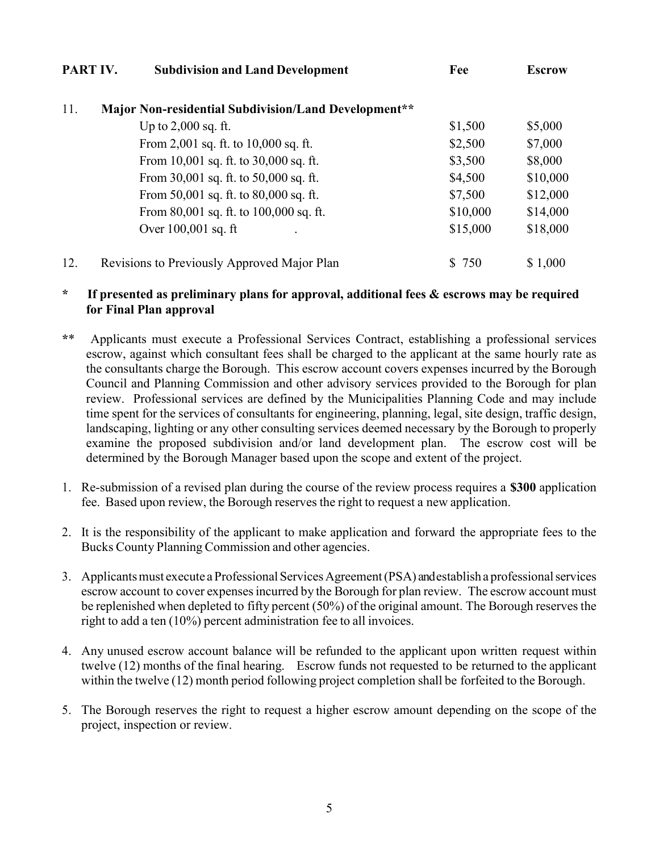| PART IV. | <b>Subdivision and Land Development</b>                     | Fee      | <b>Escrow</b> |  |
|----------|-------------------------------------------------------------|----------|---------------|--|
| 11.      | <b>Major Non-residential Subdivision/Land Development**</b> |          |               |  |
|          | Up to $2,000$ sq. ft.                                       | \$1,500  | \$5,000       |  |
|          | From 2,001 sq. ft. to 10,000 sq. ft.                        | \$2,500  | \$7,000       |  |
|          | From 10,001 sq. ft. to 30,000 sq. ft.                       | \$3,500  | \$8,000       |  |
|          | From 30,001 sq. ft. to 50,000 sq. ft.                       | \$4,500  | \$10,000      |  |
|          | From 50,001 sq. ft. to 80,000 sq. ft.                       | \$7,500  | \$12,000      |  |
|          | From 80,001 sq. ft. to 100,000 sq. ft.                      | \$10,000 | \$14,000      |  |
|          | Over 100,001 sq. ft                                         | \$15,000 | \$18,000      |  |
| 12.      | Revisions to Previously Approved Major Plan                 | \$ 750   | \$1,000       |  |

## **\* If presented as preliminary plans for approval, additional fees & escrows may be required for Final Plan approval**

- **\***\* Applicants must execute a Professional Services Contract, establishing a professional services escrow, against which consultant fees shall be charged to the applicant at the same hourly rate as the consultants charge the Borough. This escrow account covers expenses incurred by the Borough Council and Planning Commission and other advisory services provided to the Borough for plan review. Professional services are defined by the Municipalities Planning Code and may include time spent for the services of consultants for engineering, planning, legal, site design, traffic design, landscaping, lighting or any other consulting services deemed necessary by the Borough to properly examine the proposed subdivision and/or land development plan. The escrow cost will be determined by the Borough Manager based upon the scope and extent of the project.
- 1. Re-submission of a revised plan during the course of the review process requires a **\$300** application fee. Based upon review, the Borough reserves the right to request a new application.
- 2. It is the responsibility of the applicant to make application and forward the appropriate fees to the Bucks County Planning Commission and other agencies.
- 3. Applicants must execute a Professional Services Agreement (PSA) and establish a professional services escrow account to cover expenses incurred by the Borough for plan review. The escrow account must be replenished when depleted to fifty percent (50%) of the original amount. The Borough reserves the right to add a ten (10%) percent administration fee to all invoices.
- 4. Any unused escrow account balance will be refunded to the applicant upon written request within twelve (12) months of the final hearing. Escrow funds not requested to be returned to the applicant within the twelve (12) month period following project completion shall be forfeited to the Borough.
- 5. The Borough reserves the right to request a higher escrow amount depending on the scope of the project, inspection or review.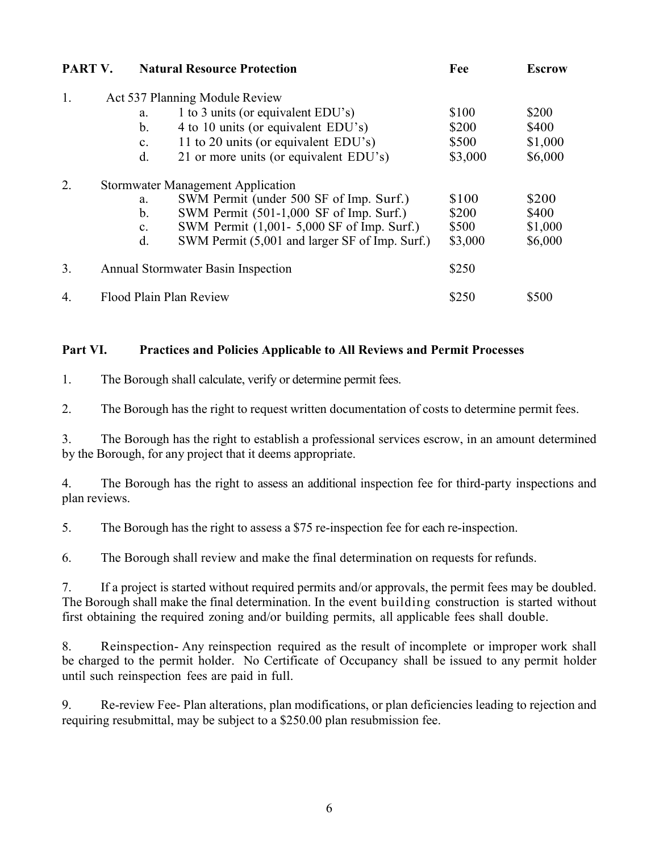| PART V. |                | <b>Natural Resource Protection</b>             | Fee     | <b>Escrow</b> |
|---------|----------------|------------------------------------------------|---------|---------------|
| 1.      |                | Act 537 Planning Module Review                 |         |               |
|         | a.             | 1 to 3 units (or equivalent EDU's)             | \$100   | \$200         |
|         | b.             | 4 to 10 units (or equivalent EDU's)            | \$200   | \$400         |
|         | $\mathbf{c}$ . | 11 to 20 units (or equivalent EDU's)           | \$500   | \$1,000       |
|         | d.             | 21 or more units (or equivalent EDU's)         | \$3,000 | \$6,000       |
| 2.      |                | <b>Stormwater Management Application</b>       |         |               |
|         | a.             | SWM Permit (under 500 SF of Imp. Surf.)        | \$100   | \$200         |
|         | b.             | SWM Permit (501-1,000 SF of Imp. Surf.)        | \$200   | \$400         |
|         | $\mathbf{c}$ . | SWM Permit (1,001- 5,000 SF of Imp. Surf.)     | \$500   | \$1,000       |
|         | d.             | SWM Permit (5,001 and larger SF of Imp. Surf.) | \$3,000 | \$6,000       |
| 3.      |                | <b>Annual Stormwater Basin Inspection</b>      | \$250   |               |
| 4.      |                | Flood Plain Plan Review                        | \$250   | \$500         |

# **Part VI. Practices and Policies Applicable to All Reviews and Permit Processes**

1. The Borough shall calculate, verify or determine permit fees.

2. The Borough has the right to request written documentation of costs to determine permit fees.

3. The Borough has the right to establish a professional services escrow, in an amount determined by the Borough, for any project that it deems appropriate.

4. The Borough has the right to assess an additional inspection fee for third-party inspections and plan reviews.

5. The Borough has the right to assess a \$75 re-inspection fee for each re-inspection.

6. The Borough shall review and make the final determination on requests for refunds.

7. If a project is started without required permits and/or approvals, the permit fees may be doubled. The Borough shall make the final determination. In the event building construction is started without first obtaining the required zoning and/or building permits, all applicable fees shall double.

8. Reinspection- Any reinspection required as the result of incomplete or improper work shall be charged to the permit holder. No Certificate of Occupancy shall be issued to any permit holder until such reinspection fees are paid in full.

9. Re-review Fee- Plan alterations, plan modifications, or plan deficiencies leading to rejection and requiring resubmittal, may be subject to a \$250.00 plan resubmission fee.